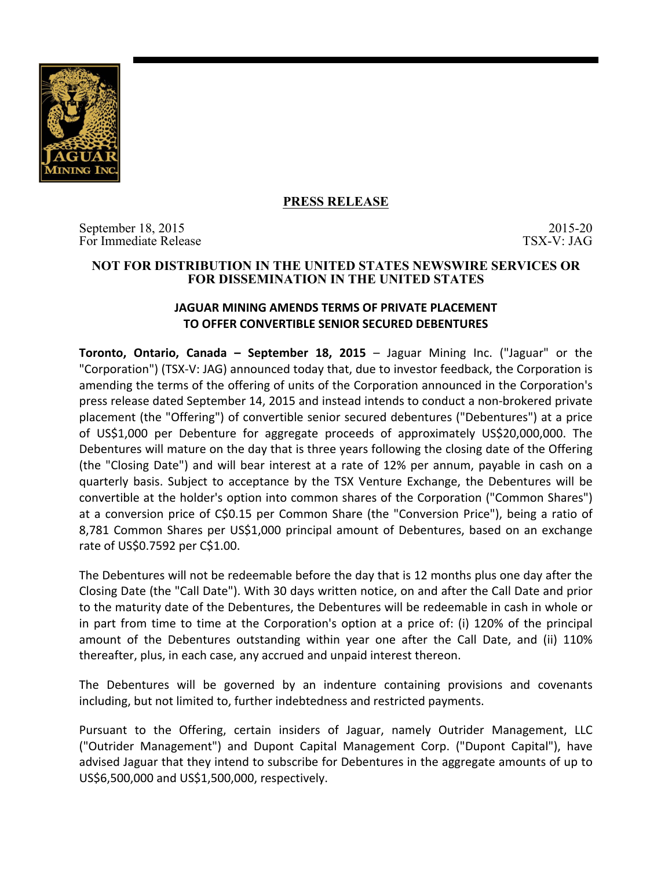

## **PRESS RELEASE**

September 18, 2015<br>
For Immediate Release TSX-V: JAG For Immediate Release

### **NOT FOR DISTRIBUTION IN THE UNITED STATES NEWSWIRE SERVICES OR FOR DISSEMINATION IN THE UNITED STATES**

# **JAGUAR MINING AMENDS TERMS OF PRIVATE PLACEMENT TO OFFER CONVERTIBLE SENIOR SECURED DEBENTURES**

**Toronto, Ontario, Canada – September 18, 2015** – Jaguar Mining Inc. ("Jaguar" or the "Corporation") (TSX-V: JAG) announced today that, due to investor feedback, the Corporation is amending the terms of the offering of units of the Corporation announced in the Corporation's press release dated September 14, 2015 and instead intends to conduct a non-brokered private placement (the "Offering") of convertible senior secured debentures ("Debentures") at a price of US\$1,000 per Debenture for aggregate proceeds of approximately US\$20,000,000. The Debentures will mature on the day that is three years following the closing date of the Offering (the "Closing Date") and will bear interest at a rate of 12% per annum, payable in cash on a quarterly basis. Subject to acceptance by the TSX Venture Exchange, the Debentures will be convertible at the holder's option into common shares of the Corporation ("Common Shares") at a conversion price of C\$0.15 per Common Share (the "Conversion Price"), being a ratio of 8,781 Common Shares per US\$1,000 principal amount of Debentures, based on an exchange rate of US\$0.7592 per C\$1.00.

The Debentures will not be redeemable before the day that is 12 months plus one day after the Closing Date (the "Call Date"). With 30 days written notice, on and after the Call Date and prior to the maturity date of the Debentures, the Debentures will be redeemable in cash in whole or in part from time to time at the Corporation's option at a price of: (i) 120% of the principal amount of the Debentures outstanding within year one after the Call Date, and (ii) 110% thereafter, plus, in each case, any accrued and unpaid interest thereon.

The Debentures will be governed by an indenture containing provisions and covenants including, but not limited to, further indebtedness and restricted payments.

Pursuant to the Offering, certain insiders of Jaguar, namely Outrider Management, LLC ("Outrider Management") and Dupont Capital Management Corp. ("Dupont Capital"), have advised Jaguar that they intend to subscribe for Debentures in the aggregate amounts of up to US\$6,500,000 and US\$1,500,000, respectively.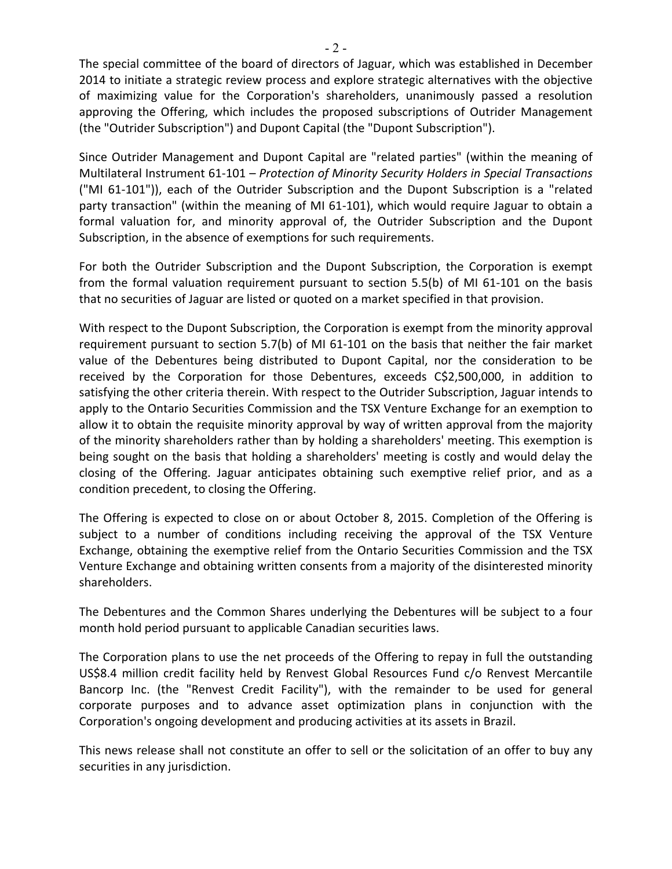The special committee of the board of directors of Jaguar, which was established in December 2014 to initiate a strategic review process and explore strategic alternatives with the objective of maximizing value for the Corporation's shareholders, unanimously passed a resolution approving the Offering, which includes the proposed subscriptions of Outrider Management (the "Outrider Subscription") and Dupont Capital (the "Dupont Subscription").

Since Outrider Management and Dupont Capital are "related parties" (within the meaning of Multilateral Instrument 61-101 - Protection of Minority Security Holders in Special Transactions ("MI 61-101")), each of the Outrider Subscription and the Dupont Subscription is a "related party transaction" (within the meaning of MI 61-101), which would require Jaguar to obtain a formal valuation for, and minority approval of, the Outrider Subscription and the Dupont Subscription, in the absence of exemptions for such requirements.

For both the Outrider Subscription and the Dupont Subscription, the Corporation is exempt from the formal valuation requirement pursuant to section 5.5(b) of MI 61-101 on the basis that no securities of Jaguar are listed or quoted on a market specified in that provision.

With respect to the Dupont Subscription, the Corporation is exempt from the minority approval requirement pursuant to section 5.7(b) of MI 61-101 on the basis that neither the fair market value of the Debentures being distributed to Dupont Capital, nor the consideration to be received by the Corporation for those Debentures, exceeds C\$2,500,000, in addition to satisfying the other criteria therein. With respect to the Outrider Subscription, Jaguar intends to apply to the Ontario Securities Commission and the TSX Venture Exchange for an exemption to allow it to obtain the requisite minority approval by way of written approval from the majority of the minority shareholders rather than by holding a shareholders' meeting. This exemption is being sought on the basis that holding a shareholders' meeting is costly and would delay the closing of the Offering. Jaguar anticipates obtaining such exemptive relief prior, and as a condition precedent, to closing the Offering.

The Offering is expected to close on or about October 8, 2015. Completion of the Offering is subject to a number of conditions including receiving the approval of the TSX Venture Exchange, obtaining the exemptive relief from the Ontario Securities Commission and the TSX Venture Exchange and obtaining written consents from a majority of the disinterested minority shareholders. 

The Debentures and the Common Shares underlying the Debentures will be subject to a four month hold period pursuant to applicable Canadian securities laws.

The Corporation plans to use the net proceeds of the Offering to repay in full the outstanding US\$8.4 million credit facility held by Renvest Global Resources Fund c/o Renvest Mercantile Bancorp Inc. (the "Renvest Credit Facility"), with the remainder to be used for general corporate purposes and to advance asset optimization plans in conjunction with the Corporation's ongoing development and producing activities at its assets in Brazil.

This news release shall not constitute an offer to sell or the solicitation of an offer to buy any securities in any jurisdiction.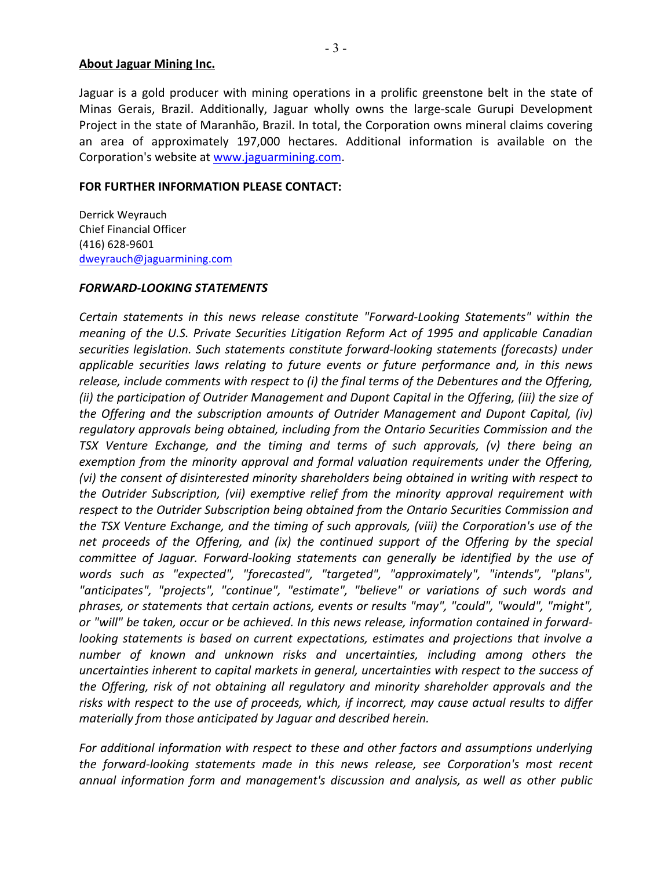### **About Jaguar Mining Inc.**

Jaguar is a gold producer with mining operations in a prolific greenstone belt in the state of Minas Gerais, Brazil. Additionally, Jaguar wholly owns the large-scale Gurupi Development Project in the state of Maranhão, Brazil. In total, the Corporation owns mineral claims covering an area of approximately 197,000 hectares. Additional information is available on the Corporation's website at www.jaguarmining.com.

### **FOR FURTHER INFORMATION PLEASE CONTACT:**

Derrick Weyrauch Chief Financial Officer (416) 628-9601 dweyrauch@jaguarmining.com

#### *FORWARD-LOOKING STATEMENTS*

*Certain statements in this news release constitute "Forward-Looking Statements"* within the *meaning* of the U.S. Private Securities Litigation Reform Act of 1995 and applicable Canadian securities legislation. Such statements constitute forward-looking statements (forecasts) under *applicable securities laws relating to future events or future performance and, in this news release, include comments with respect to (i) the final terms of the Debentures and the Offering,* (ii) the participation of Outrider Management and Dupont Capital in the Offering, (iii) the size of *the Offering and the subscription amounts of Outrider Management and Dupont Capital, (iv)* regulatory approvals being obtained, including from the Ontario Securities Commission and the *TSX Venture Exchange, and the timing and terms of such approvals, (v) there being an exemption from the minority approval and formal valuation requirements under the Offering,* (vi) the consent of disinterested minority shareholders being obtained in writing with respect to *the Outrider Subscription, (vii) exemptive relief from the minority approval requirement with* respect to the Outrider Subscription being obtained from the Ontario Securities Commission and the TSX Venture Exchange, and the timing of such approvals, (viii) the Corporation's use of the net proceeds of the Offering, and (ix) the continued support of the Offering by the special *committee of Jaguar. Forward-looking statements can generally be identified by the use of* words such as "expected", "forecasted", "targeted", "approximately", "intends", "plans", "anticipates", "projects", "continue", "estimate", "believe" or variations of such words and phrases, or statements that certain actions, events or results "may", "could", "would", "might", or "will" be taken, occur or be achieved. In this news release, information contained in forward*looking* statements is based on current expectations, estimates and projections that involve a number of known and unknown risks and uncertainties, including among others the uncertainties inherent to capital markets in general, uncertainties with respect to the success of *the Offering, risk of not obtaining all regulatory and minority shareholder approvals and the* risks with respect to the use of proceeds, which, if incorrect, may cause actual results to differ *materially from those anticipated by Jaguar and described herein.* 

For additional information with respect to these and other factors and assumptions underlying *the forward-looking statements made in this news release, see Corporation's most recent* annual information form and management's discussion and analysis, as well as other public